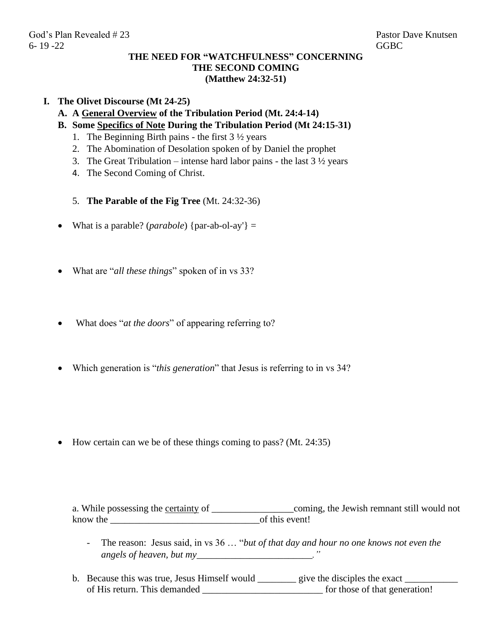## **THE NEED FOR "WATCHFULNESS" CONCERNING THE SECOND COMING (Matthew 24:32-51)**

## **I. The Olivet Discourse (Mt 24-25)**

- **A. A General Overview of the Tribulation Period (Mt. 24:4-14)**
- **B. Some Specifics of Note During the Tribulation Period (Mt 24:15-31)**
	- 1. The Beginning Birth pains the first  $3\frac{1}{2}$  years
	- 2. The Abomination of Desolation spoken of by Daniel the prophet
	- 3. The Great Tribulation intense hard labor pains the last  $3\frac{1}{2}$  years
	- 4. The Second Coming of Christ.
	- 5. **The Parable of the Fig Tree** (Mt. 24:32-36)
- What is a parable? (*parabole*) {par-ab-ol-ay'} =
- What are "*all these things*" spoken of in vs 33?
- What does "*at the doors*" of appearing referring to?
- Which generation is "*this generation*" that Jesus is referring to in vs 34?

• How certain can we be of these things coming to pass? (Mt. 24:35)

a. While possessing the certainty of \_\_\_\_\_\_\_\_\_\_\_\_\_\_\_\_\_\_\_\_\_\_\_coming, the Jewish remnant still would not know the \_\_\_\_\_\_\_\_\_\_\_\_\_\_\_\_\_\_\_\_\_\_\_\_\_\_\_\_\_\_\_of this event!

- The reason: Jesus said, in vs 36 … "*but of that day and hour no one knows not even the angels of heaven, but my*\_\_\_\_\_\_\_\_\_\_\_\_\_\_\_\_\_\_\_\_\_\_\_\_\_.<sup>"</sup>
- b. Because this was true, Jesus Himself would \_\_\_\_\_\_\_\_\_ give the disciples the exact \_\_\_\_\_\_\_\_\_\_\_\_\_\_ of His return. This demanded \_\_\_\_\_\_\_\_\_\_\_\_\_\_\_\_\_\_\_\_\_\_\_\_\_ for those of that generation!